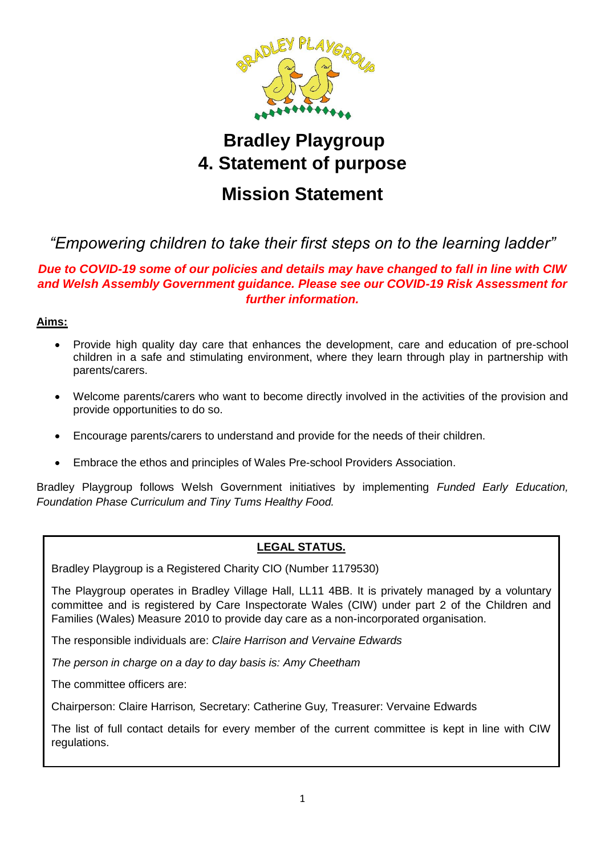

# **Bradley Playgroup 4. Statement of purpose Mission Statement**

# *"Empowering children to take their first steps on to the learning ladder"*

# *Due to COVID-19 some of our policies and details may have changed to fall in line with CIW and Welsh Assembly Government guidance. Please see our COVID-19 Risk Assessment for further information.*

# **Aims:**

- Provide high quality day care that enhances the development, care and education of pre-school children in a safe and stimulating environment, where they learn through play in partnership with parents/carers.
- Welcome parents/carers who want to become directly involved in the activities of the provision and provide opportunities to do so.
- Encourage parents/carers to understand and provide for the needs of their children.
- Embrace the ethos and principles of Wales Pre-school Providers Association.

Bradley Playgroup follows Welsh Government initiatives by implementing *Funded Early Education, Foundation Phase Curriculum and Tiny Tums Healthy Food.*

# **LEGAL STATUS.**

Bradley Playgroup is a Registered Charity CIO (Number 1179530)

The Playgroup operates in Bradley Village Hall, LL11 4BB. It is privately managed by a voluntary committee and is registered by Care Inspectorate Wales (CIW) under part 2 of the Children and Families (Wales) Measure 2010 to provide day care as a non-incorporated organisation.

The responsible individuals are: *Claire Harrison and Vervaine Edwards*

*The person in charge on a day to day basis is: Amy Cheetham* 

The committee officers are:

Chairperson: Claire Harrison*,* Secretary: Catherine Guy*,* Treasurer: Vervaine Edwards

The list of full contact details for every member of the current committee is kept in line with CIW regulations.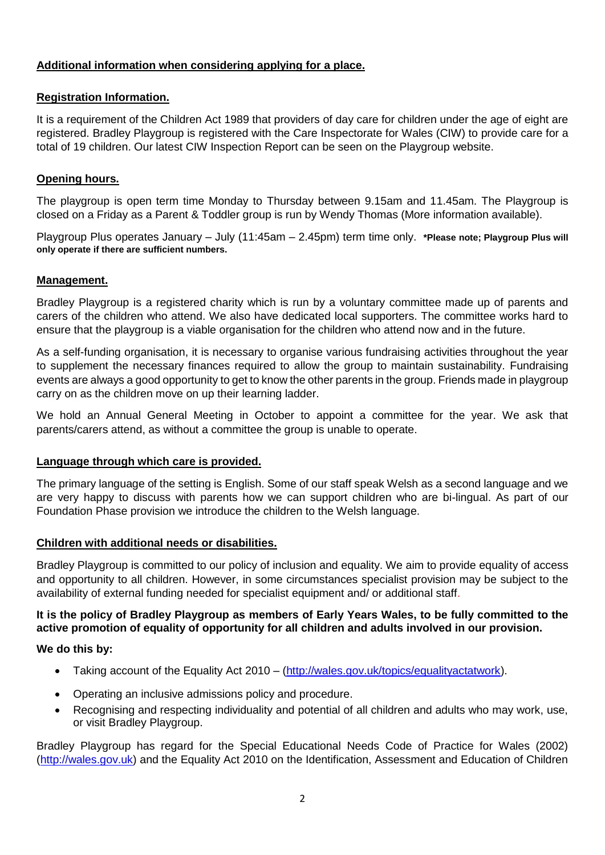# **Additional information when considering applying for a place.**

#### **Registration Information.**

It is a requirement of the Children Act 1989 that providers of day care for children under the age of eight are registered. Bradley Playgroup is registered with the Care Inspectorate for Wales (CIW) to provide care for a total of 19 children. Our latest CIW Inspection Report can be seen on the Playgroup website.

### **Opening hours.**

The playgroup is open term time Monday to Thursday between 9.15am and 11.45am. The Playgroup is closed on a Friday as a Parent & Toddler group is run by Wendy Thomas (More information available).

Playgroup Plus operates January – July (11:45am – 2.45pm) term time only. **\*Please note; Playgroup Plus will only operate if there are sufficient numbers.**

#### **Management.**

Bradley Playgroup is a registered charity which is run by a voluntary committee made up of parents and carers of the children who attend. We also have dedicated local supporters. The committee works hard to ensure that the playgroup is a viable organisation for the children who attend now and in the future.

As a self-funding organisation, it is necessary to organise various fundraising activities throughout the year to supplement the necessary finances required to allow the group to maintain sustainability. Fundraising events are always a good opportunity to get to know the other parents in the group. Friends made in playgroup carry on as the children move on up their learning ladder.

We hold an Annual General Meeting in October to appoint a committee for the year. We ask that parents/carers attend, as without a committee the group is unable to operate.

#### **Language through which care is provided.**

The primary language of the setting is English. Some of our staff speak Welsh as a second language and we are very happy to discuss with parents how we can support children who are bi-lingual. As part of our Foundation Phase provision we introduce the children to the Welsh language.

#### **Children with additional needs or disabilities.**

Bradley Playgroup is committed to our policy of inclusion and equality. We aim to provide equality of access and opportunity to all children. However, in some circumstances specialist provision may be subject to the availability of external funding needed for specialist equipment and/ or additional staff.

# **It is the policy of Bradley Playgroup as members of Early Years Wales, to be fully committed to the active promotion of equality of opportunity for all children and adults involved in our provision.**

#### **We do this by:**

- Taking account of the Equality Act 2010 [\(http://wales.gov.uk/topics/equalityactatwork\)](http://wales.gov.uk/topics/equalityactatwork).
- Operating an inclusive admissions policy and procedure.
- Recognising and respecting individuality and potential of all children and adults who may work, use, or visit Bradley Playgroup.

Bradley Playgroup has regard for the Special Educational Needs Code of Practice for Wales (2002) [\(http://wales.gov.uk\)](http://wales.gov.uk/) and the Equality Act 2010 on the Identification, Assessment and Education of Children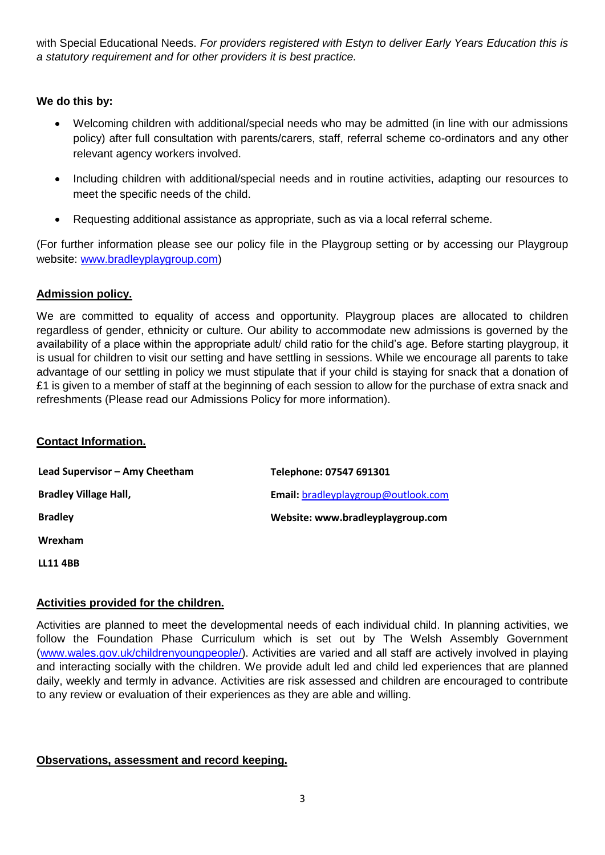with Special Educational Needs. *For providers registered with Estyn to deliver Early Years Education this is a statutory requirement and for other providers it is best practice.*

# **We do this by:**

- Welcoming children with additional/special needs who may be admitted (in line with our admissions policy) after full consultation with parents/carers, staff, referral scheme co-ordinators and any other relevant agency workers involved.
- Including children with additional/special needs and in routine activities, adapting our resources to meet the specific needs of the child.
- Requesting additional assistance as appropriate, such as via a local referral scheme.

(For further information please see our policy file in the Playgroup setting or by accessing our Playgroup website: [www.bradleyplaygroup.com\)](http://www.bradleyplaygroup.com/)

# **Admission policy.**

We are committed to equality of access and opportunity. Playgroup places are allocated to children regardless of gender, ethnicity or culture. Our ability to accommodate new admissions is governed by the availability of a place within the appropriate adult/ child ratio for the child's age. Before starting playgroup, it is usual for children to visit our setting and have settling in sessions. While we encourage all parents to take advantage of our settling in policy we must stipulate that if your child is staying for snack that a donation of £1 is given to a member of staff at the beginning of each session to allow for the purchase of extra snack and refreshments (Please read our Admissions Policy for more information).

#### **Contact Information.**

| Lead Supervisor - Amy Cheetham | Telephone: 07547 691301             |
|--------------------------------|-------------------------------------|
| <b>Bradley Village Hall,</b>   | Email: bradleyplaygroup@outlook.com |
| <b>Bradley</b>                 | Website: www.bradleyplaygroup.com   |
| Wrexham                        |                                     |
|                                |                                     |

**LL11 4BB**

#### **Activities provided for the children.**

Activities are planned to meet the developmental needs of each individual child. In planning activities, we follow the Foundation Phase Curriculum which is set out by The Welsh Assembly Government [\(www.wales.gov.uk/childrenyoungpeople/\)](http://www.wales.gov.uk/childrenyoungpeople/). Activities are varied and all staff are actively involved in playing and interacting socially with the children. We provide adult led and child led experiences that are planned daily, weekly and termly in advance. Activities are risk assessed and children are encouraged to contribute to any review or evaluation of their experiences as they are able and willing.

#### **Observations, assessment and record keeping.**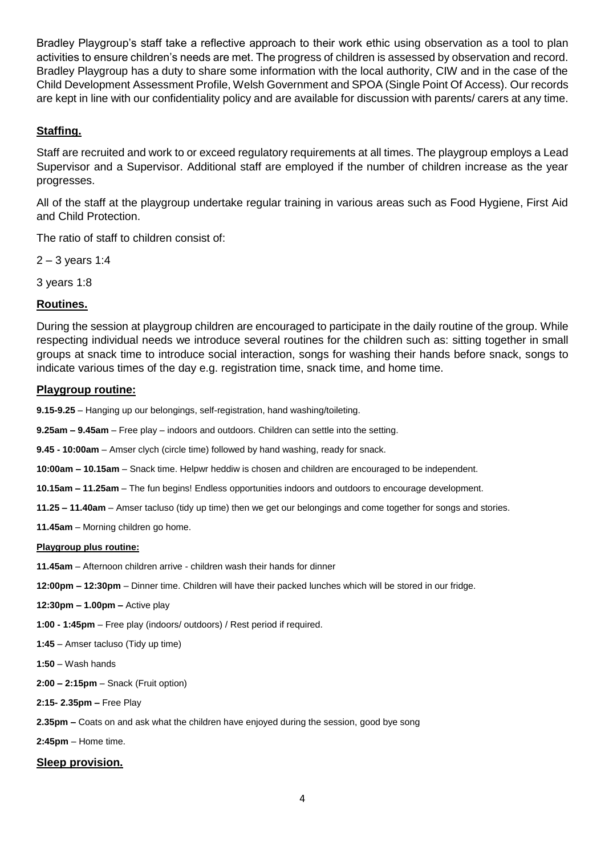Bradley Playgroup's staff take a reflective approach to their work ethic using observation as a tool to plan activities to ensure children's needs are met. The progress of children is assessed by observation and record. Bradley Playgroup has a duty to share some information with the local authority, CIW and in the case of the Child Development Assessment Profile, Welsh Government and SPOA (Single Point Of Access). Our records are kept in line with our confidentiality policy and are available for discussion with parents/ carers at any time.

# **Staffing.**

Staff are recruited and work to or exceed regulatory requirements at all times. The playgroup employs a Lead Supervisor and a Supervisor. Additional staff are employed if the number of children increase as the year progresses.

All of the staff at the playgroup undertake regular training in various areas such as Food Hygiene, First Aid and Child Protection.

The ratio of staff to children consist of:

2 – 3 years 1:4

3 years 1:8

#### **Routines.**

During the session at playgroup children are encouraged to participate in the daily routine of the group. While respecting individual needs we introduce several routines for the children such as: sitting together in small groups at snack time to introduce social interaction, songs for washing their hands before snack, songs to indicate various times of the day e.g. registration time, snack time, and home time.

#### **Playgroup routine:**

**9.15-9.25** – Hanging up our belongings, self-registration, hand washing/toileting.

**9.25am – 9.45am** – Free play – indoors and outdoors. Children can settle into the setting.

**9.45 - 10:00am** – Amser clych (circle time) followed by hand washing, ready for snack.

**10:00am – 10.15am** – Snack time. Helpwr heddiw is chosen and children are encouraged to be independent.

**10.15am – 11.25am** – The fun begins! Endless opportunities indoors and outdoors to encourage development.

**11.25 – 11.40am** – Amser tacluso (tidy up time) then we get our belongings and come together for songs and stories.

**11.45am** – Morning children go home.

#### **Playgroup plus routine:**

**11.45am** – Afternoon children arrive - children wash their hands for dinner

**12:00pm – 12:30pm** – Dinner time. Children will have their packed lunches which will be stored in our fridge.

**12:30pm – 1.00pm –** Active play

**1:00 - 1:45pm** – Free play (indoors/ outdoors) / Rest period if required.

**1:45** – Amser tacluso (Tidy up time)

**1:50** – Wash hands

**2:00 – 2:15pm** – Snack (Fruit option)

**2:15- 2.35pm –** Free Play

**2.35pm –** Coats on and ask what the children have enjoyed during the session, good bye song

**2:45pm** – Home time.

# **Sleep provision.**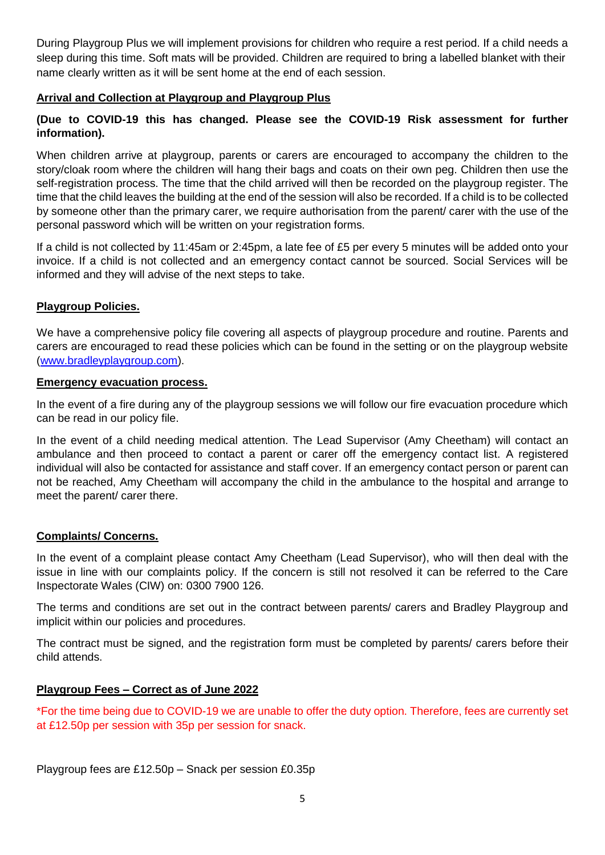During Playgroup Plus we will implement provisions for children who require a rest period. If a child needs a sleep during this time. Soft mats will be provided. Children are required to bring a labelled blanket with their name clearly written as it will be sent home at the end of each session.

# **Arrival and Collection at Playgroup and Playgroup Plus**

# **(Due to COVID-19 this has changed. Please see the COVID-19 Risk assessment for further information).**

When children arrive at playgroup, parents or carers are encouraged to accompany the children to the story/cloak room where the children will hang their bags and coats on their own peg. Children then use the self-registration process. The time that the child arrived will then be recorded on the playgroup register. The time that the child leaves the building at the end of the session will also be recorded. If a child is to be collected by someone other than the primary carer, we require authorisation from the parent/ carer with the use of the personal password which will be written on your registration forms.

If a child is not collected by 11:45am or 2:45pm, a late fee of £5 per every 5 minutes will be added onto your invoice. If a child is not collected and an emergency contact cannot be sourced. Social Services will be informed and they will advise of the next steps to take.

# **Playgroup Policies.**

We have a comprehensive policy file covering all aspects of playgroup procedure and routine. Parents and carers are encouraged to read these policies which can be found in the setting or on the playgroup website [\(www.bradleyplaygroup.com\)](http://www.bradleyplaygroup.com/).

#### **Emergency evacuation process.**

In the event of a fire during any of the playgroup sessions we will follow our fire evacuation procedure which can be read in our policy file.

In the event of a child needing medical attention. The Lead Supervisor (Amy Cheetham) will contact an ambulance and then proceed to contact a parent or carer off the emergency contact list. A registered individual will also be contacted for assistance and staff cover. If an emergency contact person or parent can not be reached, Amy Cheetham will accompany the child in the ambulance to the hospital and arrange to meet the parent/ carer there.

#### **Complaints/ Concerns.**

In the event of a complaint please contact Amy Cheetham (Lead Supervisor), who will then deal with the issue in line with our complaints policy. If the concern is still not resolved it can be referred to the Care Inspectorate Wales (CIW) on: 0300 7900 126.

The terms and conditions are set out in the contract between parents/ carers and Bradley Playgroup and implicit within our policies and procedures.

The contract must be signed, and the registration form must be completed by parents/ carers before their child attends.

#### **Playgroup Fees – Correct as of June 2022**

\*For the time being due to COVID-19 we are unable to offer the duty option. Therefore, fees are currently set at £12.50p per session with 35p per session for snack.

Playgroup fees are £12.50p – Snack per session £0.35p